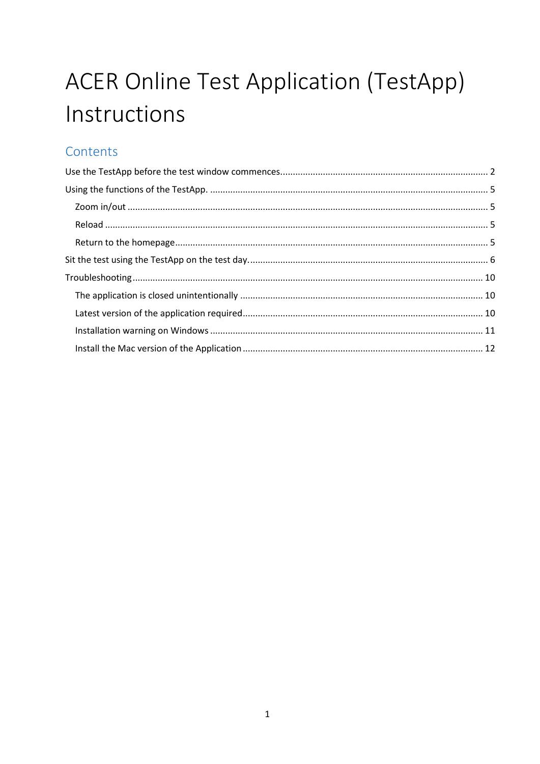# **ACER Online Test Application (TestApp)** Instructions

# Contents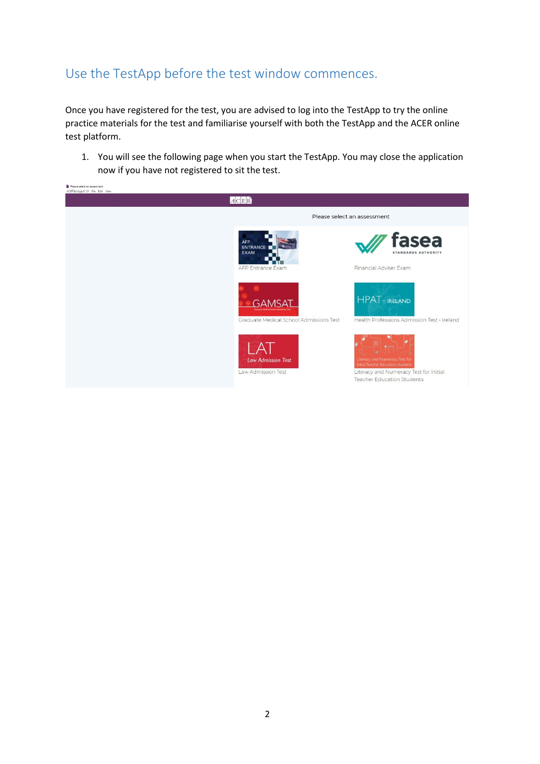## <span id="page-1-0"></span>Use the TestApp before the test window commences.

Once you have registered for the test, you are advised to log into the TestApp to try the online practice materials for the test and familiarise yourself with both the TestApp and the ACER online test platform.

1. You will see the following page when you start the TestApp. You may close the application now if you have not registered to sit the test.

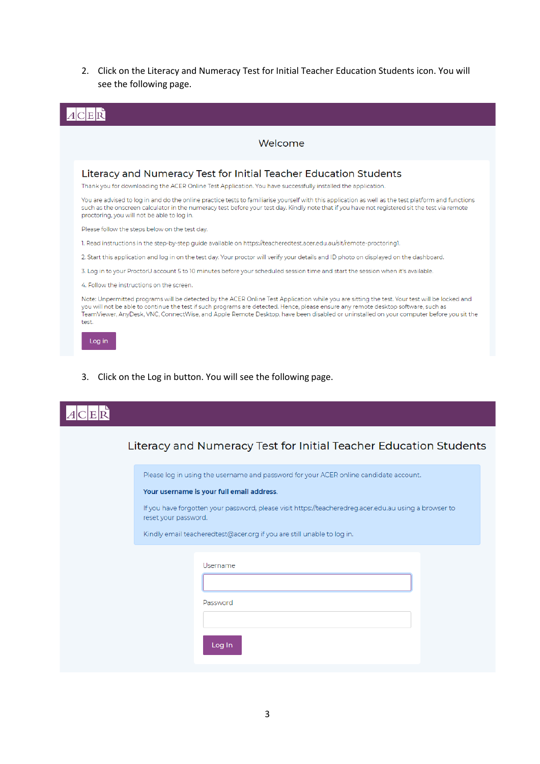2. Click on the Literacy and Numeracy Test for Initial Teacher Education Students icon. You will see the following page.

|        | Welcome                                                                                                                                                                                                                                                                                                                                                                                                                      |
|--------|------------------------------------------------------------------------------------------------------------------------------------------------------------------------------------------------------------------------------------------------------------------------------------------------------------------------------------------------------------------------------------------------------------------------------|
|        | Literacy and Numeracy Test for Initial Teacher Education Students<br>Thank you for downloading the ACER Online Test Application. You have successfully installed the application.                                                                                                                                                                                                                                            |
|        | You are advised to log in and do the online practice tests to familiarise yourself with this application as well as the test platform and functions<br>such as the onscreen calculator in the numeracy test before your test day. Kindly note that if you have not registered sit the test via remote<br>proctoring, you will not be able to log in.                                                                         |
|        | Please follow the steps below on the test day.                                                                                                                                                                                                                                                                                                                                                                               |
|        | 1. Read instructions in the step-by-step guide available on https://teacheredtest.acer.edu.au/sit/remote-proctoring1.                                                                                                                                                                                                                                                                                                        |
|        | 2. Start this application and log in on the test day. Your proctor will verify your details and ID photo on displayed on the dashboard.                                                                                                                                                                                                                                                                                      |
|        | 3. Log in to your ProctorU account 5 to 10 minutes before your scheduled session time and start the session when it's available.                                                                                                                                                                                                                                                                                             |
|        | 4. Follow the instructions on the screen.                                                                                                                                                                                                                                                                                                                                                                                    |
| test.  | Note: Unpermitted programs will be detected by the ACER Online Test Application while you are sitting the test. Your test will be locked and<br>you will not be able to continue the test if such programs are detected. Hence, please ensure any remote desktop software, such as<br>TeamViewer, AnyDesk, VNC, ConnectWise, and Apple Remote Desktop, have been disabled or uninstalled on your computer before you sit the |
| Log in |                                                                                                                                                                                                                                                                                                                                                                                                                              |

3. Click on the Log in button. You will see the following page.

سيست

| Literacy and Numeracy Test for Initial Teacher Education Students                                                             |
|-------------------------------------------------------------------------------------------------------------------------------|
| Please log in using the username and password for your ACER online candidate account.                                         |
| Your username is your full email address.                                                                                     |
| If you have forgotten your password, please visit https://teacheredreg.acer.edu.au using a browser to<br>reset your password. |
| Kindly email teacheredtest@acer.org if you are still unable to log in.                                                        |
| Username<br>Password<br>Log In                                                                                                |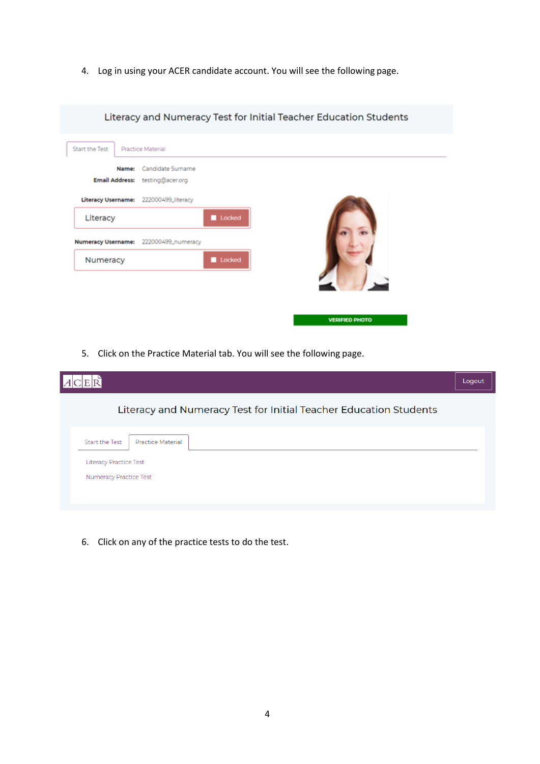4. Log in using your ACER candidate account. You will see the following page.

|                           |                                                |        | Literacy and Numeracy Test for Initial Teacher Education Students |  |
|---------------------------|------------------------------------------------|--------|-------------------------------------------------------------------|--|
| Start the Test            | Practice Material                              |        |                                                                   |  |
| <b>Email Address:</b>     | Candidate Surname<br>Name:<br>testing@acer.org |        |                                                                   |  |
| <b>Literacy Username:</b> | 222000499_literacy                             |        |                                                                   |  |
| Literacy                  |                                                | Locked |                                                                   |  |
| <b>Numeracy Username:</b> | 222000499_numeracy                             |        |                                                                   |  |
| Numeracy                  |                                                | Locked |                                                                   |  |
|                           |                                                |        |                                                                   |  |
|                           |                                                |        |                                                                   |  |
|                           |                                                |        | VEDICIED DHOTO                                                    |  |

5. Click on the Practice Material tab. You will see the following page.

|                                                                   | Logout |
|-------------------------------------------------------------------|--------|
| Literacy and Numeracy Test for Initial Teacher Education Students |        |
| <b>Practice Material</b><br><b>Start the Test</b>                 |        |
| <b>Literacy Practice Test</b><br><b>Numeracy Practice Test</b>    |        |

6. Click on any of the practice tests to do the test.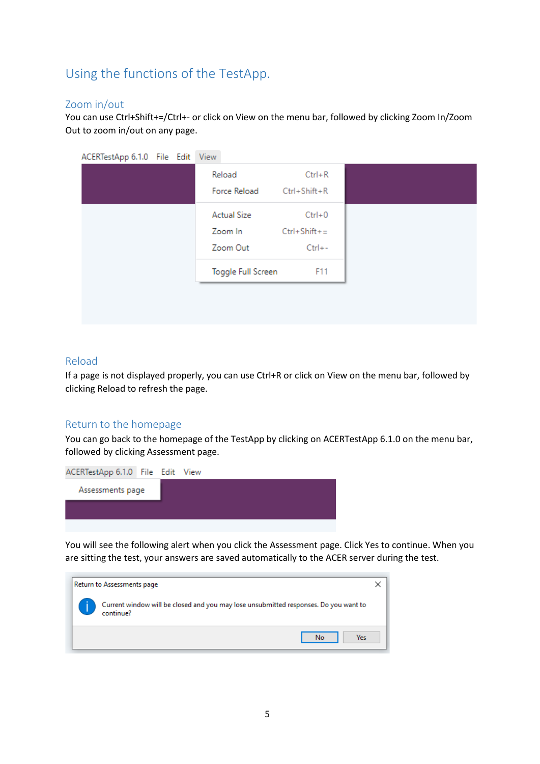# <span id="page-4-0"></span>Using the functions of the TestApp.

#### <span id="page-4-1"></span>Zoom in/out

You can use Ctrl+Shift+=/Ctrl+- or click on View on the menu bar, followed by clicking Zoom In/Zoom Out to zoom in/out on any page.

| Reload<br>Force Reload             | $Ctrl + R$<br>Ctrl+Shift+R                    |  |
|------------------------------------|-----------------------------------------------|--|
| Actual Size<br>Zoom In<br>Zoom Out | $Ctrl + 0$<br>$Ctrl + Shift +=$<br>$Ctrl + -$ |  |
| Toggle Full Screen                 | F11                                           |  |

#### <span id="page-4-2"></span>Reload

If a page is not displayed properly, you can use Ctrl+R or click on View on the menu bar, followed by clicking Reload to refresh the page.

#### <span id="page-4-3"></span>Return to the homepage

You can go back to the homepage of the TestApp by clicking on ACERTestApp 6.1.0 on the menu bar, followed by clicking Assessment page.



You will see the following alert when you click the Assessment page. Click Yes to continue. When you are sitting the test, your answers are saved automatically to the ACER server during the test.

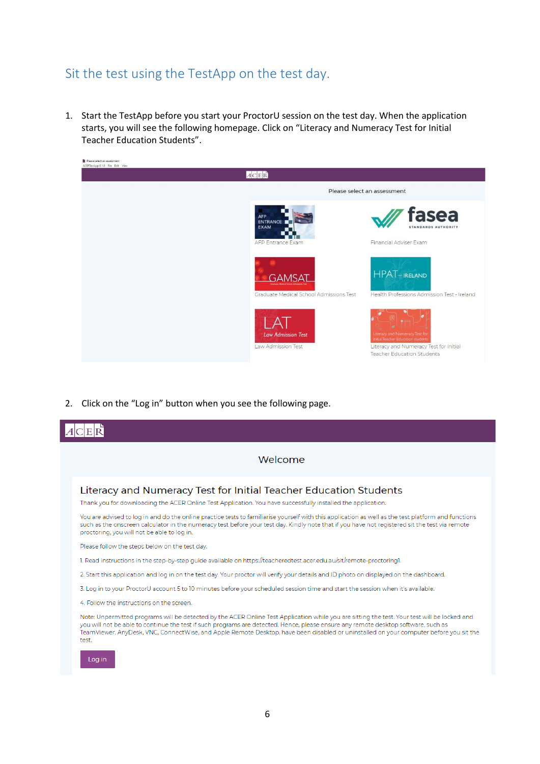# <span id="page-5-0"></span>Sit the test using the TestApp on the test day.

1. Start the TestApp before you start your ProctorU session on the test day. When the application starts, you will see the following homepage. Click on "Literacy and Numeracy Test for Initial Teacher Education Students".



2. Click on the "Log in" button when you see the following page.

| Welcome                                                                                                                                                                                                                                                                                                                                                                                                                               |
|---------------------------------------------------------------------------------------------------------------------------------------------------------------------------------------------------------------------------------------------------------------------------------------------------------------------------------------------------------------------------------------------------------------------------------------|
| Literacy and Numeracy Test for Initial Teacher Education Students                                                                                                                                                                                                                                                                                                                                                                     |
| Thank you for downloading the ACER Online Test Application. You have successfully installed the application.                                                                                                                                                                                                                                                                                                                          |
| You are advised to log in and do the online practice tests to familiarise yourself with this application as well as the test platform and functions<br>such as the onscreen calculator in the numeracy test before your test day. Kindly note that if you have not registered sit the test via remote<br>proctoring, you will not be able to log in.                                                                                  |
| Please follow the steps below on the test day.                                                                                                                                                                                                                                                                                                                                                                                        |
| 1. Read instructions in the step-by-step quide available on https://teacheredtest.acer.edu.au/sit/remote-proctoring1.                                                                                                                                                                                                                                                                                                                 |
| 2. Start this application and log in on the test day. Your proctor will verify your details and ID photo on displayed on the dashboard.                                                                                                                                                                                                                                                                                               |
| 3. Log in to your ProctorU account 5 to 10 minutes before your scheduled session time and start the session when it's available.                                                                                                                                                                                                                                                                                                      |
| 4. Follow the instructions on the screen.                                                                                                                                                                                                                                                                                                                                                                                             |
| Note: Unpermitted programs will be detected by the ACER Online Test Application while you are sitting the test. Your test will be locked and<br>you will not be able to continue the test if such programs are detected. Hence, please ensure any remote desktop software, such as<br>TeamViewer, AnyDesk, VNC, ConnectWise, and Apple Remote Desktop, have been disabled or uninstalled on your computer before you sit the<br>test. |
| Log in                                                                                                                                                                                                                                                                                                                                                                                                                                |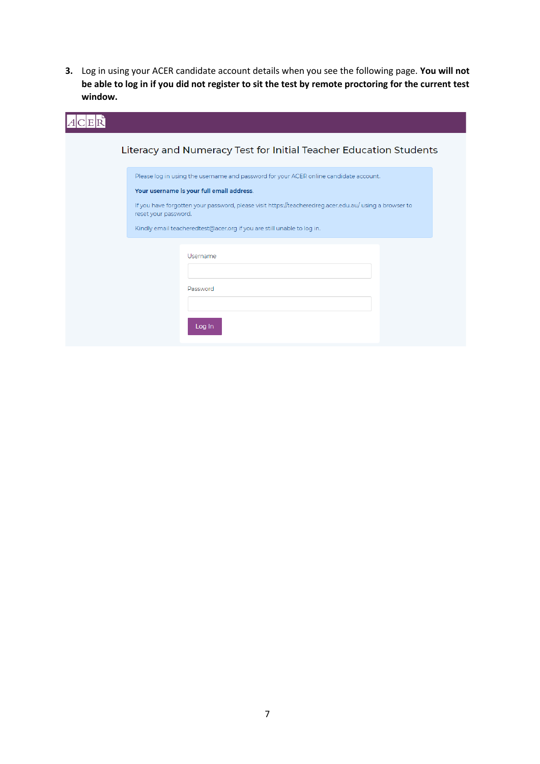**3.** Log in using your ACER candidate account details when you see the following page. **You will not be able to log in if you did not register to sit the test by remote proctoring for the current test window.**

| Literacy and Numeracy Test for Initial Teacher Education Students                                                                  |
|------------------------------------------------------------------------------------------------------------------------------------|
| Please log in using the username and password for your ACER online candidate account.<br>Your username is your full email address. |
| If you have forgotten your password, please visit https://teacheredreg.acer.edu.au/ using a browser to<br>reset your password.     |
| Kindly email teacheredtest@acer.org if you are still unable to log in.                                                             |
| Username                                                                                                                           |
| Password                                                                                                                           |
| Log In                                                                                                                             |
|                                                                                                                                    |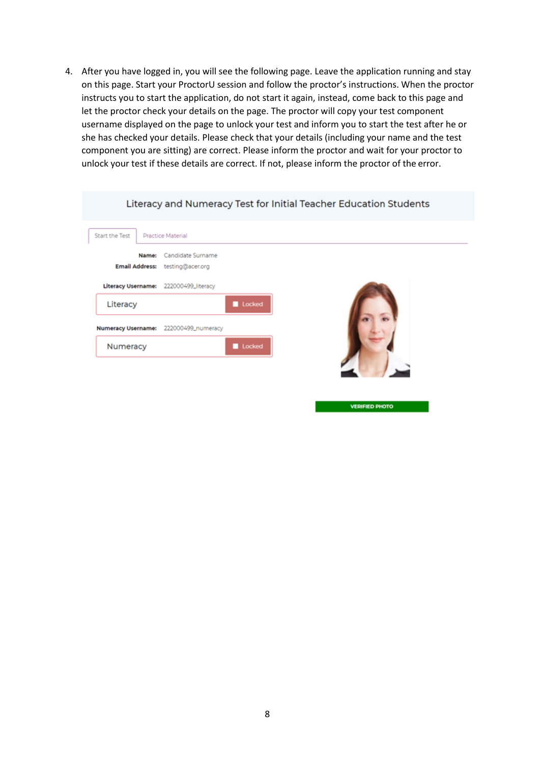4. After you have logged in, you will see the following page. Leave the application running and stay on this page. Start your ProctorU session and follow the proctor's instructions. When the proctor instructs you to start the application, do not start it again, instead, come back to this page and let the proctor check your details on the page. The proctor will copy your test component username displayed on the page to unlock your test and inform you to start the test after he or she has checked your details. Please check that your details (including your name and the test component you are sitting) are correct. Please inform the proctor and wait for your proctor to unlock your test if these details are correct. If not, please inform the proctor of the error.

|                                       | Literacy and Numeracy Test for Initial Teacher Education Students |
|---------------------------------------|-------------------------------------------------------------------|
| Start the Test                        | Practice Material                                                 |
| Name:<br>Email Address:               | Candidate Surname<br>testing@acer.org                             |
| <b>Literacy Username:</b><br>Literacy | 222000499_literacy<br>Locked                                      |
| <b>Numeracy Username:</b><br>Numeracy | 222000499_numeracy<br>Locked                                      |
|                                       |                                                                   |

**VERIFIED PHOTO**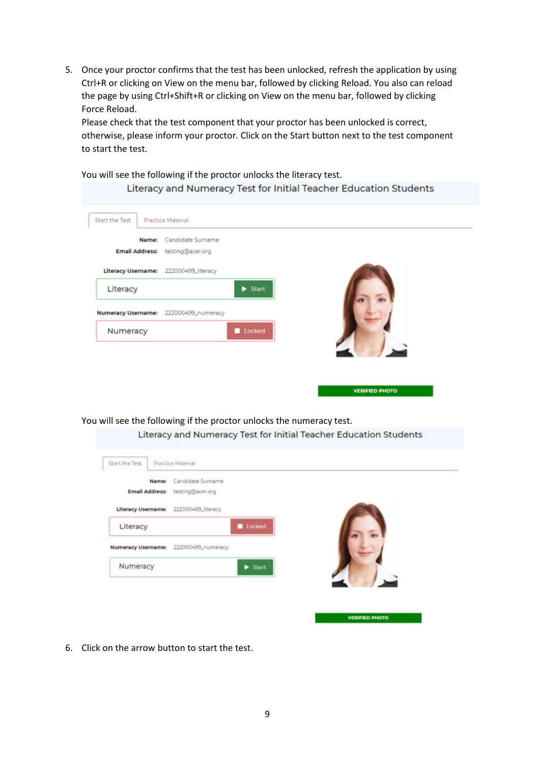5. Once your proctor confirms that the test has been unlocked, refresh the application by using Ctrl+R or clicking on View on the menu bar, followed by clicking Reload. You also can reload the page by using Ctrl+Shift+R or clicking on View on the menu bar, followed by clicking Force Reload.

Please check that the test component that your proctor has been unlocked is correct, otherwise, please inform your proctor. Click on the Start button next to the test component to start the test.

You will see the following if the proctor unlocks the literacy test.

| Literacy and Numeracy Test for Initial Teacher Education Students |  |  |  |  |
|-------------------------------------------------------------------|--|--|--|--|
|-------------------------------------------------------------------|--|--|--|--|

| Start the Test<br>Name:                           | Practice Material<br>Candidate Surname<br>Email Address: testing@acer.org |                             |  |  |
|---------------------------------------------------|---------------------------------------------------------------------------|-----------------------------|--|--|
| Literacy Username: 222000499_literacy<br>Literacy |                                                                           | $\blacktriangleright$ Start |  |  |
| <b>Numeracy Username:</b>                         | 222000499_numeracy                                                        |                             |  |  |
| Numeracy                                          |                                                                           | Locked                      |  |  |

You will see the following if the proctor unlocks the numeracy test.

| Literacy and Numeracy Test for Initial Teacher Education Students |
|-------------------------------------------------------------------|
|-------------------------------------------------------------------|

**VERIFIED PHOTO** 

| <b>Email Address:</b>     | Name: | Candidate Surname<br>testing@acer.org |                             |  |  |
|---------------------------|-------|---------------------------------------|-----------------------------|--|--|
| Literacy Username:        |       | 222000499_literacy                    |                             |  |  |
| Literacy                  |       |                                       | Locked                      |  |  |
| <b>Numeracy Username:</b> |       | 222000499_numeracy                    |                             |  |  |
| Numeracy                  |       |                                       | $\blacktriangleright$ Start |  |  |
|                           |       |                                       |                             |  |  |

6. Click on the arrow button to start the test.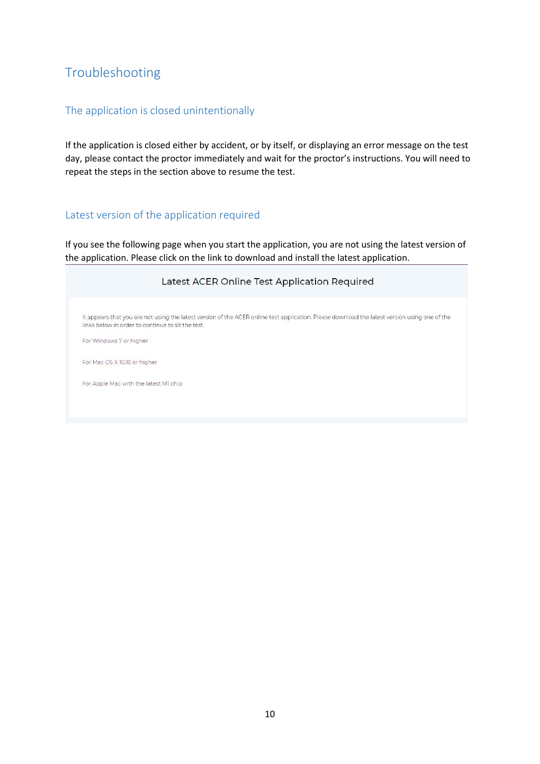# <span id="page-9-0"></span>Troubleshooting

## <span id="page-9-1"></span>The application is closed unintentionally

If the application is closed either by accident, or by itself, or displaying an error message on the test day, please contact the proctor immediately and wait for the proctor's instructions. You will need to repeat the steps in the section above to resume the test.

### <span id="page-9-2"></span>Latest version of the application required

If you see the following page when you start the application, you are not using the latest version of the application. Please click on the link to download and install the latest application.

| Latest ACER Online Test Application Required                                                                                                                                                       |
|----------------------------------------------------------------------------------------------------------------------------------------------------------------------------------------------------|
| It appears that you are not using the latest version of the ACER online test application. Please download the latest version using one of the<br>links below in order to continue to sit the test. |
| For Windows 7 or higher                                                                                                                                                                            |
| For Mac OS X 10.10 or higher                                                                                                                                                                       |
| For Apple Mac with the latest MI chip                                                                                                                                                              |
|                                                                                                                                                                                                    |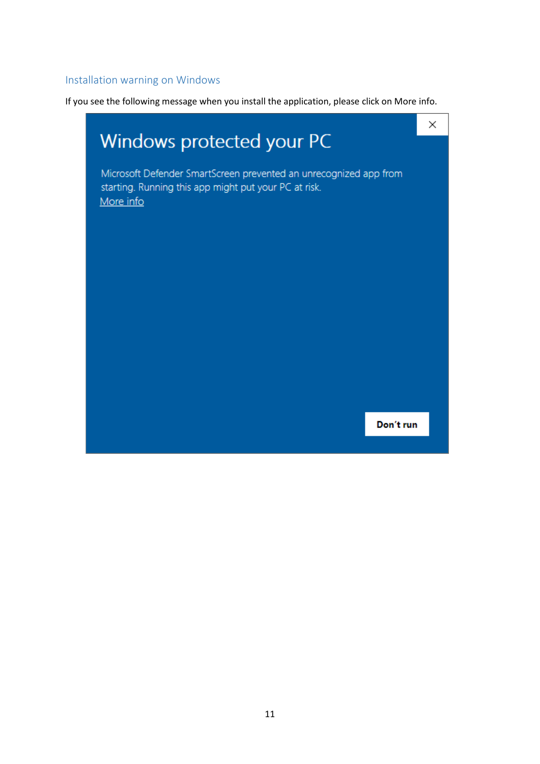### <span id="page-10-0"></span>Installation warning on Windows

If you see the following message when you install the application, please click on More info.